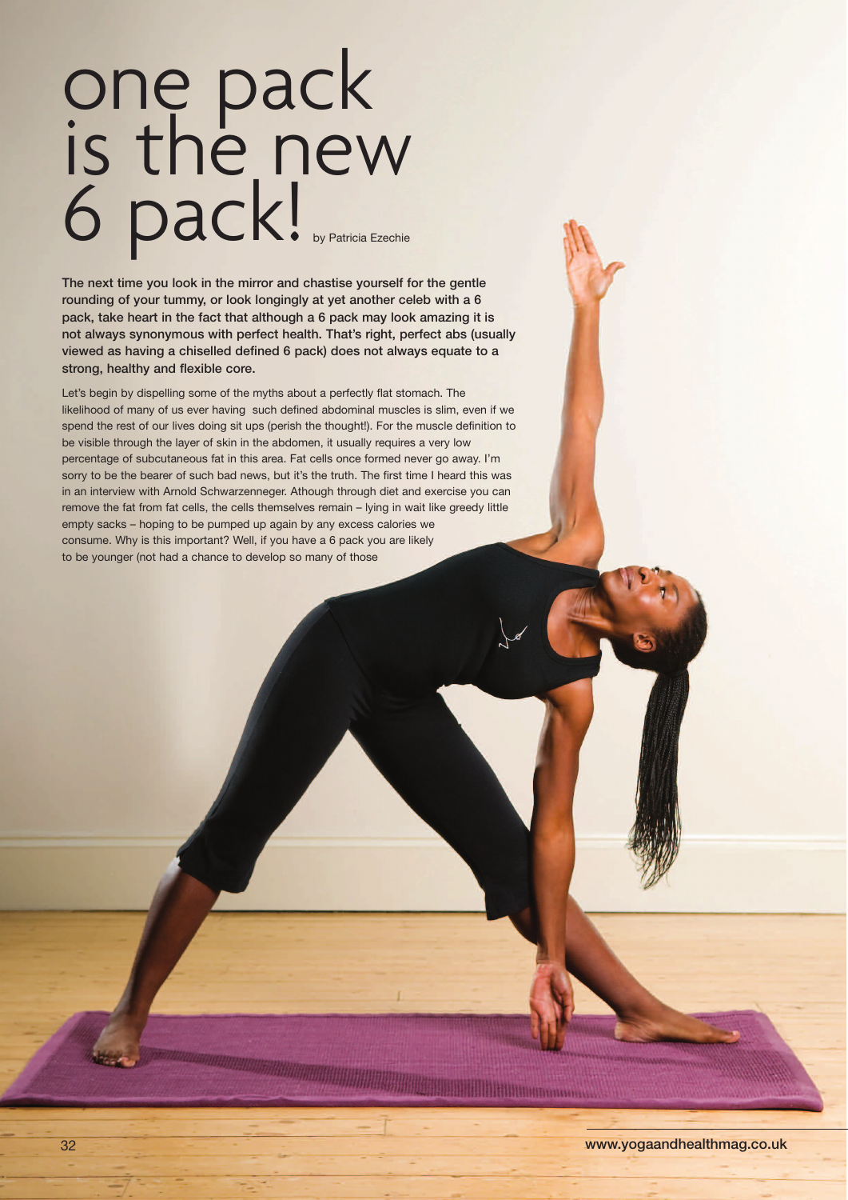## one pack is the new 6 pack! by Patricia Ezechie

**The next time you look in the mirror and chastise yourself for the gentle rounding of your tummy, or look longingly at yet another celeb with a 6 pack, take heart in the fact that although a 6 pack may look amazing it is not always synonymous with perfect health. That's right, perfect abs (usually viewed as having a chiselled defined 6 pack) does not always equate to a strong, healthy and flexible core.**

Let's begin by dispelling some of the myths about a perfectly flat stomach. The likelihood of many of us ever having such defined abdominal muscles is slim, even if we spend the rest of our lives doing sit ups (perish the thought!). For the muscle definition to be visible through the layer of skin in the abdomen, it usually requires a very low percentage of subcutaneous fat in this area. Fat cells once formed never go away. I'm sorry to be the bearer of such bad news, but it's the truth. The first time I heard this was in an interview with Arnold Schwarzenneger. Athough through diet and exercise you can remove the fat from fat cells, the cells themselves remain – lying in wait like greedy little empty sacks – hoping to be pumped up again by any excess calories we consume. Why is this important? Well, if you have a 6 pack you are likely to be younger (not had a chance to develop so many of those

<u> 1989 - Andre Milliann, march</u>